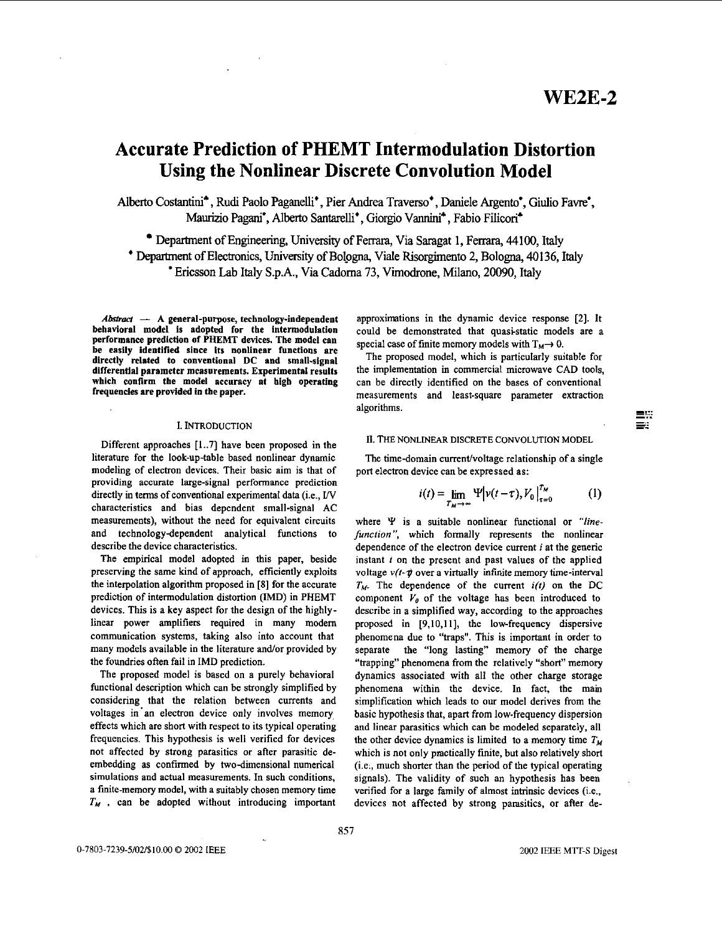$=$  . .  $\equiv$ 

# **Accurate Prediction of PHEMT Intermodulation Distortion Using the Nonlinear Discrete Convolution Model**

Albert0 Costantid, Rudi Pa010 Paganelli' , Pier Andrea **Traverso'** , Daniele **Argento',** Giulio Fawe-, Maurizio Pagani<sup>\*</sup>, Alberto Santarelli<sup>\*</sup>, Giorgio Vannini<sup>\*</sup>, Fabio Filiconi<sup>\*</sup>

Department of Engineering, University of Ferrara, Via **Saragat** 1, Ferrara, 44100, Italy ' Department of Electronics, University **of** Bologna, Viale Risorghento 2, Bologna, **40136,** Italy ' Encsson Lab Italy **S.p.A.,** Via Cadoma **73,** Vimodrone, **Milano,** 20090, Italy

Abstract - A general-purpose, technology-independent behavioral model is adopted for the intermodulation performance prediction of PHEMT devices. The model can be easily identified since its nonlinear functions are directly related to conventional **DC** and small-signal differential parameter measurements. Experimental **resulta**  which confirm the model accuracy at high operating frequencies are provided in the paper.

#### I. INTRODUCTION

Different approaches [ **1..7]** have been proposed in the literature for the look-up-table based nonlinear dynamic modeling of electron devices. Their basic aim is that of providing accurate large-signal performance prediction directly in terms of conventional experimental data (i.e.,  $\text{IV}$ characteristics and bias dependent small-signal AC measurements), without the need for equivalent circuits and technologydependent analytical functions to describe the device characteristics.

The empirical model adopted in this paper, beside preserving the same kind of approach, efficiently exploits the interpolation algorithm proposed in **[SI** for the accurate prediction of intermodulation distortion (IMD) in PHEMT devices. This is a key aspect for the design of the bighlylinear power amplifiers required in many modem communication systems, taking also into account that many models available in the literature and/or provided by the foundries often fail in IMD prediction.

The proposed model is based on a purely behavioral functional description which can be strongly simplified by considering that the relation between currents and voltages in'an electron device only involves memory effects which are short with respect to its typical operating frequencies. This hypothesis is well verified for devices not affected by strong parasitics or after parasitic deembedding as confirmed by two-dimensional numerical simulations and actual measurements. In such conditions, a fmite-memory model, with a suitably chosen memory time  $T_M$ , can be adopted without introducing important approxinations in the dynamic device response **121.** It could be demonstrated that quasi-static models are a special case of finite memory models with  $T_M \rightarrow 0$ .

The proposed model, which is particularly suitable for the implementation in commercial microwave CAD tools, can be directly identified on the bases of conventional measurements and least-square parameter extraction an be directly identified on the bases of conventional<br>measurements and least-square parameter extraction<br>algorithms.<br> $\equiv$ <sup>77</sup>

# 11. **THE** NONLINEAR DISCRETE CONVOLUTION **MODEL**

The time-domain current/voltage relationship of a single port electron device can be expressed as:

$$
i(t) = \lim_{T_M \to \infty} \Psi \Big| \nu(t - \tau), V_0 \Big|_{\tau=0}^{T_M} \tag{1}
$$

where *Y* is a suitable nonlinear functional or *"linefunction"*, which formally represents the nonlinear dependence of the electron device current *i* at the generic instant *f* on the present and past values of the applied voltage  $v(t-\tau)$  over a virtually infinite memory time-interval  $T_M$ . The dependence of the current  $i(t)$  on the DC component  $V_0$  of the voltage has been introduced to describe in a simplified way, according to the approaches proposed in **[9,10,11],** the low-frequency dispersive phenomena due to "traps". This is important in order to separate the "long lasting" memory of the charge "trapping" phenomena from the relatively "short" memory dynamics associated with all the other charge storage phenomena within the device. In fact, the mam simplification which leads to our model derives from the basic hypothesis that, apart from low-frequency dispersion and linear parasitics which can he modeled separately, all the other device dynamics is limited to a memory time  $T_M$ which is not only practically finite, but also relatively short (Le:, much shorter than the period of the typical operating signals). The validity of such an hypothesis has been verified for a large family of almost intrinsic devices (i.e., devices not affected by strong parasitics, or after de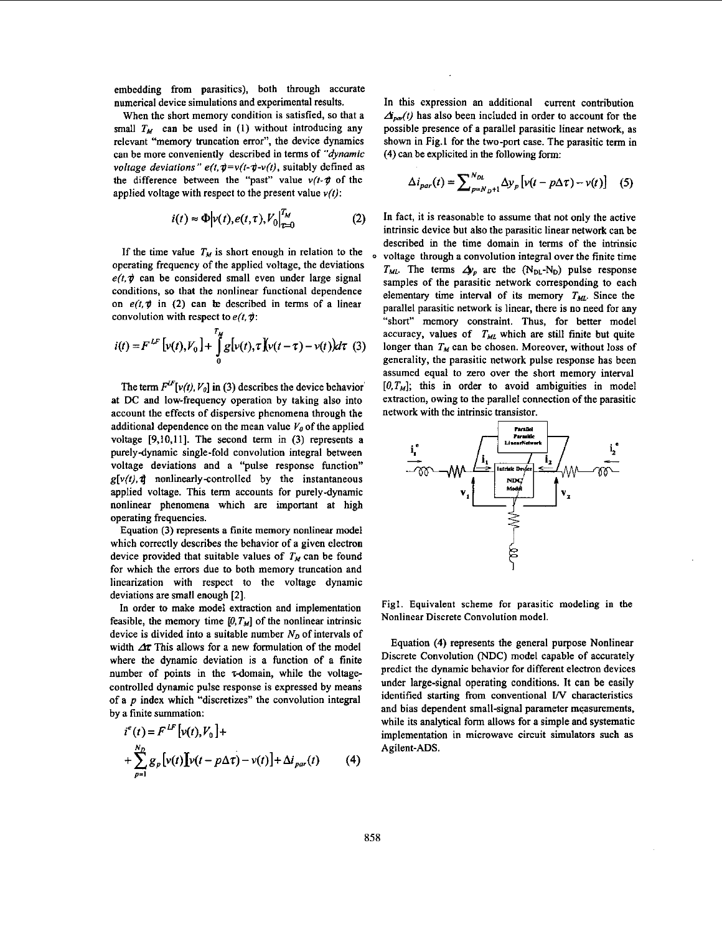embedding from parasitics), both through accurate numerical device simulations and experimental results.

When the short memory condition is satisfied, **so** that a small  $T_M$  can be used in (1) without introducing any relevant "memory truncation error", the device dynamics can be more conveniently described in terms of *"dynamic voltage deviations"*  $e(t, \phi = v(t - \phi - v(t)),$  *suitably defined as* the difference between the "past" value *v(1-p* of the applied voltage with respect to the present value *v(t):* 

$$
i(t) \approx \Phi \Big| \nu(t), e(t, \tau), V_0 \Big|_{\tau=0}^{T_M} \tag{2}
$$

If the time value  $T_M$  is short enough in relation to the  $e(t, \phi)$  can be considered small even under large signal conditions, so that the nonlinear functional dependence on  $e(t, \psi)$  in (2) can be described in terms of a linear convolution with respect to *e(t.9:* 

$$
i(t) = F^{LF}\left[v(t), V_0\right] + \int_{0}^{T_M} g[v(t), \tau] \left[v(t - \tau) - v(t)\right) d\tau \tag{3}
$$

The term  $F^{LF}[\nu(t), V_0]$  in (3) describes the device behavior at DC and low-frequency operation by taking also into account the effects of dispersive phenomena through the additional dependence on the mean value  $V<sub>0</sub>$  of the applied voltage **[9,10,11].** The second term in (3) represents a purely-dynamic single-fold convolution integral between voltage deviations and a "pulse response function"  $g[v(t), \vec{\tau}]$  nonlinearly-controlled by the instantaneous applied voltage. This term accounts for purely-dynamic nonlinear phenomena which are important at high operating frequencies.

Equation (3) represents a finite memory nonlinear model which correctly describes the behavior of a given electron device provided that suitable values of  $T_M$  can be found for which the errors due to both memory truncation and linearization with respect to the voltage dynamic deviations are small enough *[2].* 

In order to make model extraction and implementation feasible, the memory time  $[0, T_M]$  of the nonlinear intrinsic device is divided into a suitable number  $N_D$  of intervals of width *Ar* This allows for a new formulation of the model where the dynamic deviation is a function of a finite number of points in the  $\tau$ -domain, while the voltagecontrolled dynamic pulse response is expressed by means of a  $p$  index which "discretizes" the convolution integral by a finite summation:

$$
i^{e}(t) = F^{LF} [v(t), V_0] +
$$
  
+ 
$$
\sum_{p=1}^{N_D} g_p [v(t)] [v(t - p\Delta \tau) - v(t)] + \Delta i_{par}(t)
$$
 (4)

In this expression an additional current contribution  $\Delta_{\text{part}}(t)$  has also been included in order to account for the possible presence of a parallel parasitic linear network, as shown in Fig.1 for the two-port case. The parasitic term in **(4)** can **be** explicited in the following form:

$$
\Delta i_{par}(t) = \sum_{p=N_{D}+1}^{N_{DL}} \Delta y_{p} \left[ v(t - p\Delta \tau) - v(t) \right] \quad (5)
$$

In fact, it is reasonable to assume that not only the active intrinsic device but also the parasitic linear network can be described in the time domain in terms of the intrinsic voltage through a convolution integral over the finite time *THE*. The terms  $\Delta p_p$  are the  $(N_{\text{DL}}-N_{\text{D}})$  pulse response samples of the parasitic network corresponding to each elementary time interval of its memory  $T_{ML}$ . Since the parallel parasitic network is linear, there is no need for any "short" memory constraint. Thus, for better model accuracy, values of  $T_{ML}$  which are still finite but quite longer than  $T_M$  can be chosen. Moreover, without loss of generality, the parasitic network pulse response bas been assumed equal to zero over the short memory interval *[O,Tu];* this in order to avoid ambiguities in model extraction, owing to the parallel connection of the parasitic network with the intrinsic transistor.



Figl. Equivalent scheme for parasitic modeling in the Nonlinear Discrete Convolution model.

Equation **(4)** represents the general purpose Nonlinear Discrete Convolution **(NDC)** model capable of accurately predict the dynamic behavior for different electron devices under large-signal operating conditions. It can be easily identified starting from conventional I/V characteristics and bias dependent small-signal parameter measurements, while its analytical form allows for a simple and systematic implementation in microwave circuit simulators such as Agilent-ADS.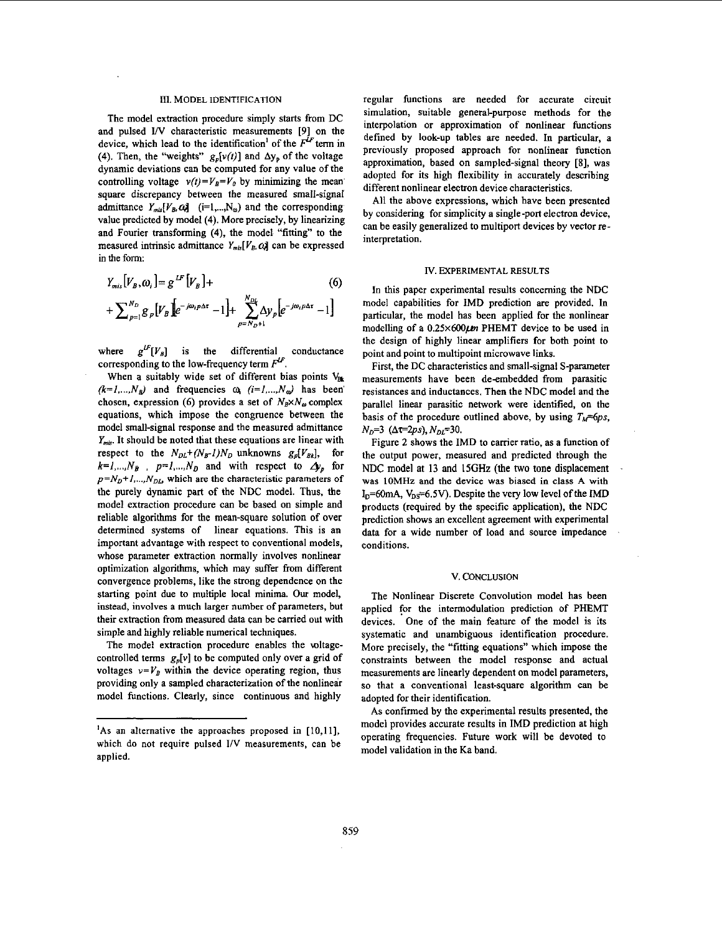#### **m.** MODEL IDENTIFICATION

The model extraction procedure simply starts from DC and pulsed I/V characteristic measurements [9] on the device, which lead to the identification<sup>1</sup> of the  $F^{\text{LF}}$  term in (4). Then, the "weights"  $g_p[v(t)]$  and  $\Delta y_p$  of the voltage dynamic deviations can be computed for any value of the controlling voltage  $v(t) = V_B = V_0$  by minimizing the mean square discrepancy between the measured small-signal admittance  $Y_{mis}[V_B, Q_j]$  (i=1,..., N<sub>o</sub>) and the corresponding value predicted by model **(4).** More precisely, by linearizing and Fourier transforming **(4).** the model "fitting" to the measured intrinsic admittance  $Y_{mis}[V_B, Q]$  can be expressed in the form:

$$
Y_{mis}[V_B, \omega_i] = g^{LF}[V_B] +
$$
  
+  $\sum_{p=1}^{N_D} g_p[V_B] \left[ e^{-j\omega_i p \Delta \tau} - 1 \right] + \sum_{p=N_D+1}^{N_{DL}} \Delta y_p \left[ e^{-j\omega_i p \Delta \tau} - 1 \right]$  (6)

where  $g^{\mu\nu}[V_{B}]$  is the differential conductance corresponding to the low-frequency term  $F^F$ .

When a suitably wide set of different bias points V<sub>Bk</sub>  $(k=l, ..., N_B)$  and frequencies  $\omega_i$   $(i=l, ..., N_\omega)$  has been chosen, expression (6) provides a set of  $N_B \times N_\omega$  complex equations, which impose the congruence between the model small-signal response and the measured admittance *Y<sub>mis</sub>*. It should be noted that these equations are linear with respect to the  $N_{DL}+(N_{B}-1)N_D$  unknowns  $g_p[V_{Bk}]$ , for  $k=1,..., N_B$ ,  $p=1,..., N_D$  and with respect to  $\Delta y_p$  for  $p=N_D+1,...,N_{DL}$  which are the characteristic parameters of the purely dynamic part of the NDC model. Thus, the model extraction procedure can he based on simple and reliable algorithms for the mean-square solution of over determined systems of linear equations. This is an important advantage with respect to conventional models, whose parameter extraction normally involves nonlinear optimization algorithms, which may suffer from different convergence problems, like the strong dependence on the starting point due to multiple local minima. **Our** model, instead, involves a much larger number of parameters, but their extraction from measured data can be carried out with simple and highly reliable numerical techniques.

The model extraction procedure enables the wltagecontrolled terms  $g_p[v]$  to be computed only over a grid of voltages  $v=V_B$  within the device operating region, thus providing only a sampled characterization of the nonlinear model functions. Clearly, since continuous and highly

regular functions are needed for accurate circuit simulation, suitable general-purpose methods for the interpolation or approximation of nonlinear functions defined by look-up tables are needed. In particular, a previously proposed approach for nonlinear function approximation, based on sampled-signal theory **[8],** was adopted for its high flexibility in accurately describing different nonlinear electron device characteristics.

All the above expressions, which have been presented by considering for simplicity a single-port electron device, can he easily generalized to multiport devices by vector reinterpretation.

# **IV.** EXPERIMENTAL **RESULTS**

In this paper experimental results concerning the NDC model capabilities for IMD prediction **are** provided. In particular, the model bas been applied for the nonlinear modelling of a  $0.25 \times 600 \mu m$  PHEMT device to be used in the design of highly linear amplifiers for both point to point and point to multipoint microwave links.

First, the DC characteristics and small-signal S-parameter measurements have been de-emhedded from parasitic resistances and inductances. Then the NDC model and the parallel linear parasitic network were identified, on the basis of the procedure outlined above, by using  $T<sub>M</sub>$ =6ps,  $N_D=3$  ( $\Delta t=2ps$ ),  $N_{DL}=30$ .

Figure 2 shows the IMD to carrier ratio, as a function of the output power, measured and predicted through the NDC model at 13 and **ISGHz** (the two tone displacement was **IOMHz** and the device was biased in class A with I<sub>D</sub>=60mA, V<sub>DS</sub>=6.5V). Despite the very low level of the IMD products (required by the specific application), the NDC prediction shows an excellent agreement with experimental data for a wide number of load and source impedance conditions.

## V. CONCLUSION

The Nonlinear Discrete Convolution model **has** been applied for the intermodulation prediction of PHEMT devices. One of the main feature of the model is its systematic and unambiguous identification procedure. More precisely, the "fitting equations" which impose the constraints between the model response and actual measurements are linearly dependent on model parameters, **so** that a conventional least-square algorithm can be adopted for their identification.

**As** confirmed by the experimental results presented, the model provides accurate results in IMD prediction at high operating frequencies. Future work will be devoted to model validation in the Ka band.

**<sup>&#</sup>x27;As** an alternative the approaches proposed in **[10,11],**  which do not require pulsed **I/V** measurements, can he applied.